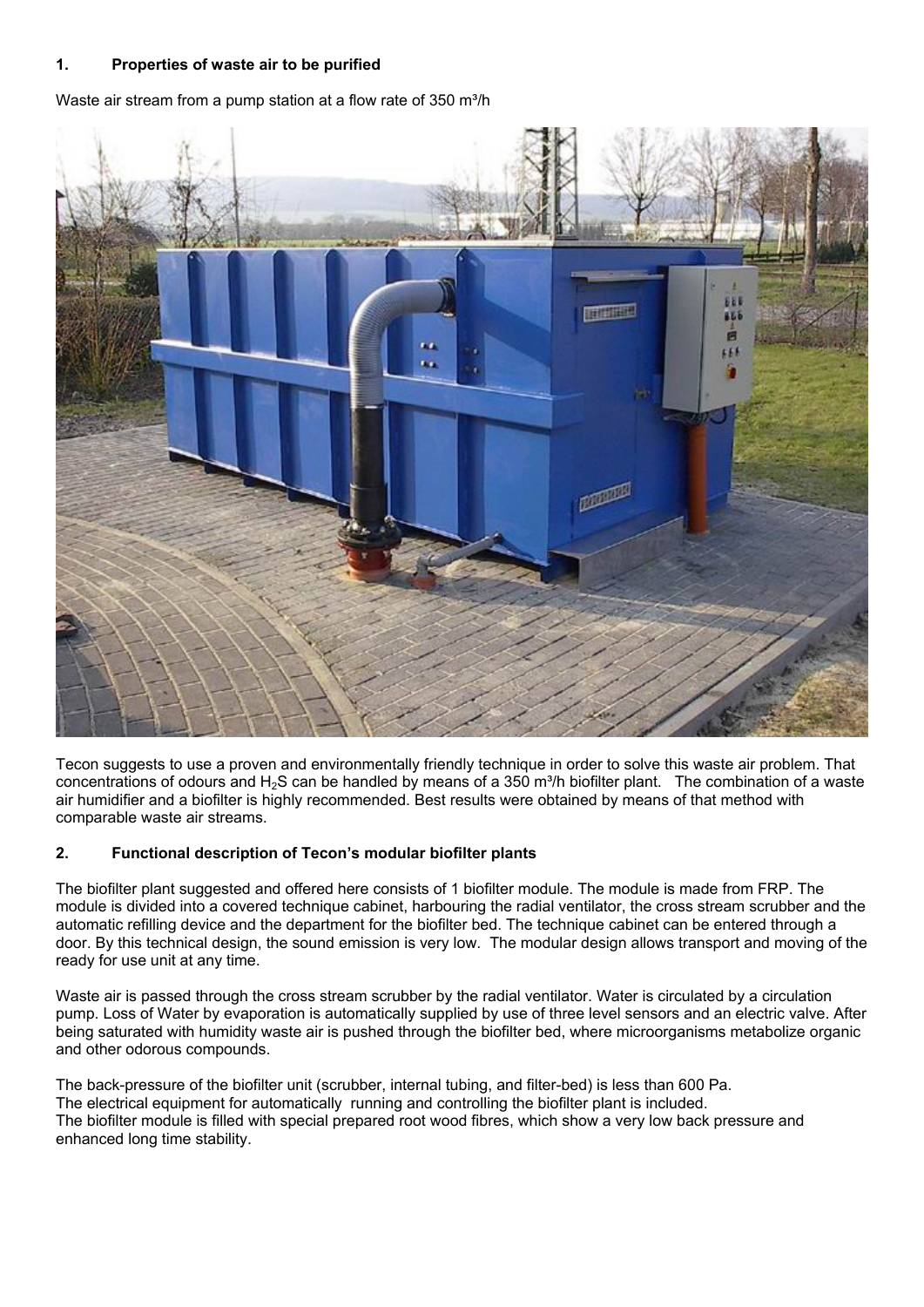## **1. Properties of waste air to be purified**

Waste air stream from a pump station at a flow rate of  $350 \text{ m}^3/\text{h}$ 



Tecon suggests to use a proven and environmentally friendly technique in order to solve this waste air problem. That concentrations of odours and  $H_2S$  can be handled by means of a 350 m<sup>3</sup>/h biofilter plant. The combination of a waste air humidifier and a biofilter is highly recommended. Best results were obtained by means of that method with comparable waste air streams.

# **2. Functional description of Tecon's modular biofilter plants**

The biofilter plant suggested and offered here consists of 1 biofilter module. The module is made from FRP. The module is divided into a covered technique cabinet, harbouring the radial ventilator, the cross stream scrubber and the automatic refilling device and the department for the biofilter bed. The technique cabinet can be entered through a door. By this technical design, the sound emission is very low. The modular design allows transport and moving of the ready for use unit at any time.

Waste air is passed through the cross stream scrubber by the radial ventilator. Water is circulated by a circulation pump. Loss of Water by evaporation is automatically supplied by use of three level sensors and an electric valve. After being saturated with humidity waste air is pushed through the biofilter bed, where microorganisms metabolize organic and other odorous compounds.

The back-pressure of the biofilter unit (scrubber, internal tubing, and filter-bed) is less than 600 Pa. The electrical equipment for automatically running and controlling the biofilter plant is included. The biofilter module is filled with special prepared root wood fibres, which show a very low back pressure and enhanced long time stability.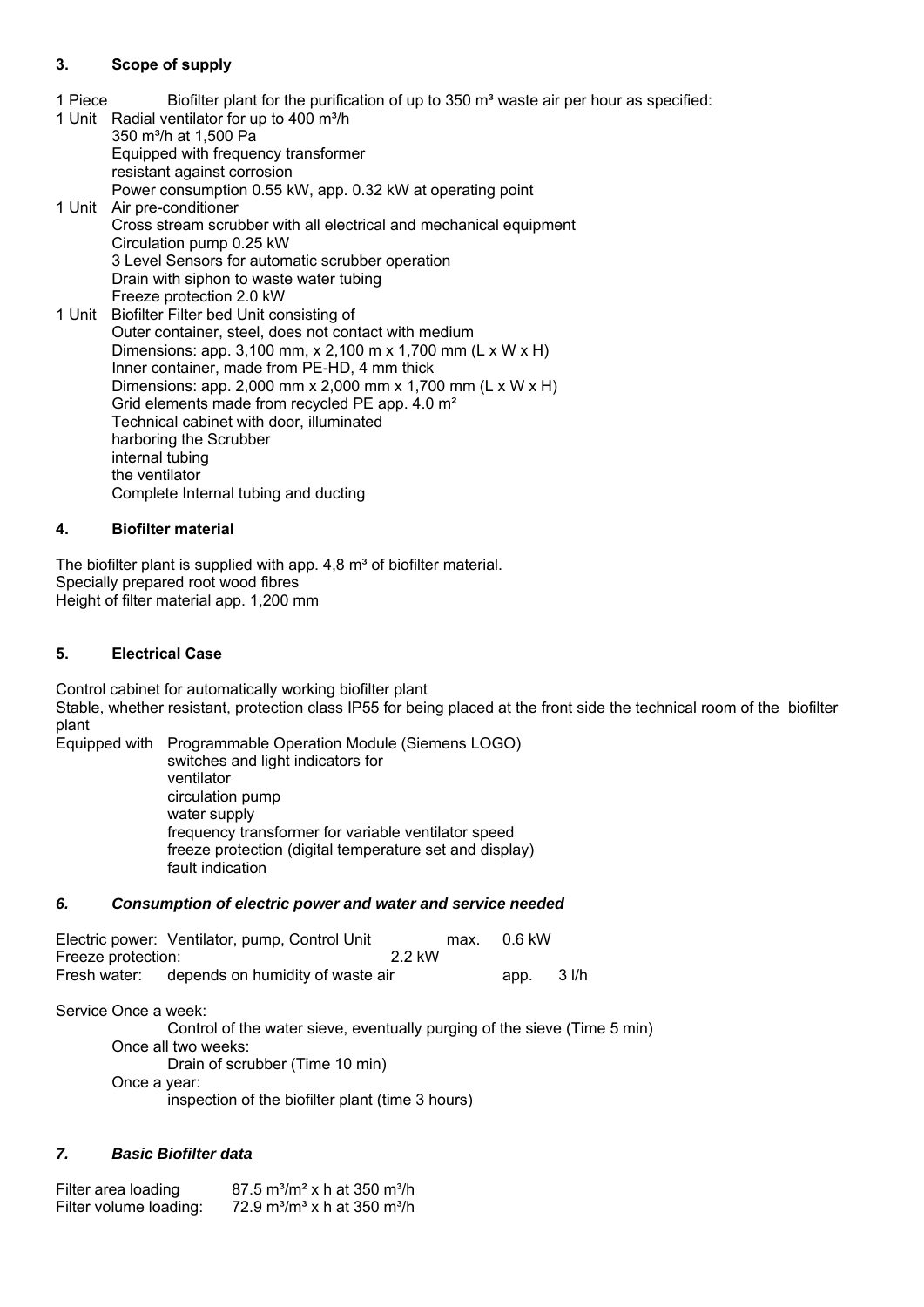# **3. Scope of supply**

- 1 Piece Biofilter plant for the purification of up to  $350 \text{ m}^3$  waste air per hour as specified:
- 1 Unit Radial ventilator for up to 400 m<sup>3</sup>/h 350 m<sup>3</sup>/h at 1,500 Pa Equipped with frequency transformer resistant against corrosion Power consumption 0.55 kW, app. 0.32 kW at operating point 1 Unit Air pre-conditioner Cross stream scrubber with all electrical and mechanical equipment Circulation pump 0.25 kW 3 Level Sensors for automatic scrubber operation Drain with siphon to waste water tubing Freeze protection 2.0 kW 1 Unit Biofilter Filter bed Unit consisting of Outer container, steel, does not contact with medium Dimensions: app. 3,100 mm, x 2,100 m x 1,700 mm (L x W x H) Inner container, made from PE-HD, 4 mm thick Dimensions: app. 2,000 mm x 2,000 mm x 1,700 mm (L x W x H) Grid elements made from recycled PE app. 4.0 m² Technical cabinet with door, illuminated harboring the Scrubber internal tubing the ventilator Complete Internal tubing and ducting

## **4. Biofilter material**

The biofilter plant is supplied with app.  $4,8 \text{ m}^3$  of biofilter material. Specially prepared root wood fibres Height of filter material app. 1,200 mm

### **5. Electrical Case**

Control cabinet for automatically working biofilter plant

Stable, whether resistant, protection class IP55 for being placed at the front side the technical room of the biofilter plant

Equipped with Programmable Operation Module (Siemens LOGO) switches and light indicators for ventilator circulation pump water supply frequency transformer for variable ventilator speed freeze protection (digital temperature set and display) fault indication

#### *6. Consumption of electric power and water and service needed*

|                    | Electric power: Ventilator, pump, Control Unit |       | max. | 0.6 kW      |  |
|--------------------|------------------------------------------------|-------|------|-------------|--|
| Freeze protection: |                                                | 22 kW |      |             |  |
|                    | Fresh water: depends on humidity of waste air  |       |      | app. $31/h$ |  |

Service Once a week:

 Control of the water sieve, eventually purging of the sieve (Time 5 min) Once all two weeks: Drain of scrubber (Time 10 min) Once a year: inspection of the biofilter plant (time 3 hours)

# *7. Basic Biofilter data*

Filter area loading  $87.5 \text{ m}^3/\text{m}^2 \text{ x}$  h at 350 m<sup>3</sup>/h Filter volume loading:  $72.9 \text{ m}^3/\text{m}^3$  x h at 350 m<sup>3</sup>/h